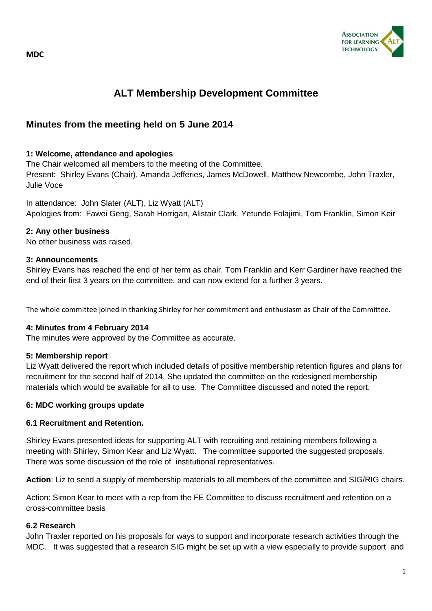

# **ALT Membership Development Committee**

# **Minutes from the meeting held on 5 June 2014**

#### **1: Welcome, attendance and apologies**

The Chair welcomed all members to the meeting of the Committee. Present: Shirley Evans (Chair), Amanda Jefferies, James McDowell, Matthew Newcombe, John Traxler, Julie Voce

In attendance: John Slater (ALT), Liz Wyatt (ALT) Apologies from: Fawei Geng, Sarah Horrigan, Alistair Clark, Yetunde Folajimi, Tom Franklin, Simon Keir

#### **2: Any other business**

No other business was raised.

#### **3: Announcements**

Shirley Evans has reached the end of her term as chair. Tom Franklin and Kerr Gardiner have reached the end of their first 3 years on the committee, and can now extend for a further 3 years.

The whole committee joined in thanking Shirley for her commitment and enthusiasm as Chair of the Committee.

#### **4: Minutes from 4 February 2014**

The minutes were approved by the Committee as accurate.

#### **5: Membership report**

Liz Wyatt delivered the report which included details of positive membership retention figures and plans for recruitment for the second half of 2014. She updated the committee on the redesigned membership materials which would be available for all to use. The Committee discussed and noted the report.

#### **6: MDC working groups update**

# **6.1 Recruitment and Retention.**

Shirley Evans presented ideas for supporting ALT with recruiting and retaining members following a meeting with Shirley, Simon Kear and Liz Wyatt. The committee supported the suggested proposals. There was some discussion of the role of institutional representatives.

**Action**: Liz to send a supply of membership materials to all members of the committee and SIG/RIG chairs.

Action: Simon Kear to meet with a rep from the FE Committee to discuss recruitment and retention on a cross-committee basis

#### **6.2 Research**

John Traxler reported on his proposals for ways to support and incorporate research activities through the MDC. It was suggested that a research SIG might be set up with a view especially to provide support and

**MDC**